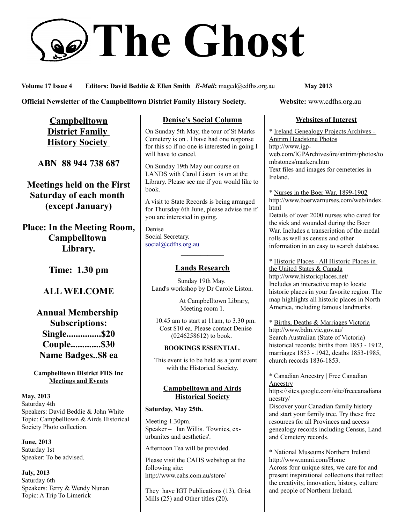# **The Ghost**

**Volume 17 Issue 4 Editors: David Beddie & Ellen Smith** *E-Mail***:** maged@cdfhs.org.au **May 2013**

#### **Official Newsletter of the Campbelltown District Family History Society. Website: www.cdfhs.org.au**

**Campbelltown District Family History Society** 

**ABN 88 944 738 687**

**Meetings held on the First Saturday of each month (except January)**

**Place: In the Meeting Room, Campbelltown Library.**

**Time: 1.30 pm**

# **ALL WELCOME**

**Annual Membership Subscriptions: Single...............\$20 Couple.............\$30 Name Badges..\$8 ea**

#### **Campbelltown District FHS Inc Meetings and Events**

**May, 2013** Saturday 4th Speakers: David Beddie & John White Topic: Campbelltown & Airds Historical Society Photo collection.

**June, 2013** Saturday 1st Speaker: To be advised.

**July, 2013** Saturday 6th Speakers: Terry & Wendy Nunan Topic: A Trip To Limerick

# **Denise's Social Column**

On Sunday 5th May, the tour of St Marks Cemetery is on . I have had one response for this so if no one is interested in going I will have to cancel.

On Sunday 19th May our course on LANDS with Carol Liston is on at the Library. Please see me if you would like to book.

A visit to State Records is being arranged for Thursday 6th June, please advise me if you are interested in going.

Denise Social Secretary. [social@cdfhs.org.au](mailto:social@cdfhs.org.au)

# ——————– **Lands Research**

Sunday 19th May. Land's workshop by Dr Carole Liston.

> At Campbelltown Library, Meeting room 1.

 10.45 am to start at 11am, to 3.30 pm. Cost \$10 ea. Please contact Denise (0246258612) to book.

#### **BOOKINGS ESSENTIAL**.

 This event is to be held as a joint event with the Historical Society.

#### **Campbelltown and Airds Historical Society**

——————–

#### **Saturday, May 25th.**

Meeting 1.30pm. Speaker – Ian Willis. 'Townies, exurbanites and aesthetics'.

Afternoon Tea will be provided.

Please visit the CAHS webshop at the following site: http://www.cahs.com.au/store/

They have IGT Publications (13), Grist Mills (25) and Other titles (20).

#### **Websites of Interest**

\* Ireland Genealogy Projects Archives - Antrim Headstone Photos http://www.igpweb.com/IGPArchives/ire/antrim/photos/to mbstones/markers.htm Text files and images for cemeteries in Ireland.

\* Nurses in the Boer War, 1899-1902 http://www.boerwarnurses.com/web/index. html

Details of over 2000 nurses who cared for the sick and wounded during the Boer War. Includes a transcription of the medal rolls as well as census and other information in an easy to search database.

\* Historic Places - All Historic Places in the United States & Canada http://www.historicplaces.net/ Includes an interactive map to locate historic places in your favorite region. The map highlights all historic places in North America, including famous landmarks.

\* Births, Deaths & Marriages Victoria http://www.bdm.vic.gov.au/ Search Australian (State of Victoria) historical records: births from 1853 - 1912, marriages 1853 - 1942, deaths 1853-1985, church records 1836-1853.

#### \* Canadian Ancestry | Free Canadian Ancestry

https://sites.google.com/site/freecanadiana ncestry/

Discover your Canadian family history and start your family tree. Try these free resources for all Provinces and access genealogy records including Census, Land and Cemetery records.

\* National Museums Northern Ireland http://www.nmni.com/Home Across four unique sites, we care for and present inspirational collections that reflect the creativity, innovation, history, culture and people of Northern Ireland.